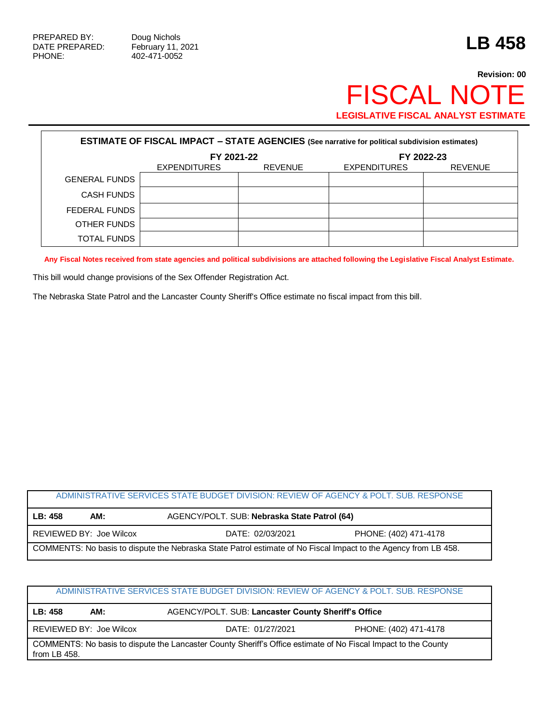Г

## **Revision: 00** FISCAL NOTE **LEGISLATIVE FISCAL ANALYST ESTIMATE**

| <b>ESTIMATE OF FISCAL IMPACT - STATE AGENCIES (See narrative for political subdivision estimates)</b> |                     |                |                     |                |
|-------------------------------------------------------------------------------------------------------|---------------------|----------------|---------------------|----------------|
|                                                                                                       | FY 2021-22          |                | FY 2022-23          |                |
|                                                                                                       | <b>EXPENDITURES</b> | <b>REVENUE</b> | <b>EXPENDITURES</b> | <b>REVENUE</b> |
| <b>GENERAL FUNDS</b>                                                                                  |                     |                |                     |                |
| <b>CASH FUNDS</b>                                                                                     |                     |                |                     |                |
| FEDERAL FUNDS                                                                                         |                     |                |                     |                |
| OTHER FUNDS                                                                                           |                     |                |                     |                |
| <b>TOTAL FUNDS</b>                                                                                    |                     |                |                     |                |

**Any Fiscal Notes received from state agencies and political subdivisions are attached following the Legislative Fiscal Analyst Estimate.**

This bill would change provisions of the Sex Offender Registration Act.

The Nebraska State Patrol and the Lancaster County Sheriff's Office estimate no fiscal impact from this bill.

| ADMINISTRATIVE SERVICES STATE BUDGET DIVISION: REVIEW OF AGENCY & POLT. SUB. RESPONSE                           |                         |                                              |                       |  |
|-----------------------------------------------------------------------------------------------------------------|-------------------------|----------------------------------------------|-----------------------|--|
| LB: 458                                                                                                         | AM:                     | AGENCY/POLT. SUB: Nebraska State Patrol (64) |                       |  |
|                                                                                                                 | REVIEWED BY: Joe Wilcox | DATE: 02/03/2021                             | PHONE: (402) 471-4178 |  |
| COMMENTS: No basis to dispute the Nebraska State Patrol estimate of No Fiscal Impact to the Agency from LB 458. |                         |                                              |                       |  |

## ADMINISTRATIVE SERVICES STATE BUDGET DIVISION: REVIEW OF AGENCY & POLT. SUB. RESPONSE

**LB: 458 AM:** AGENCY/POLT. SUB: **Lancaster County Sheriff's Office**

REVIEWED BY: Joe Wilcox DATE: 01/27/2021 PHONE: (402) 471-4178

COMMENTS: No basis to dispute the Lancaster County Sheriff's Office estimate of No Fiscal Impact to the County from LB 458.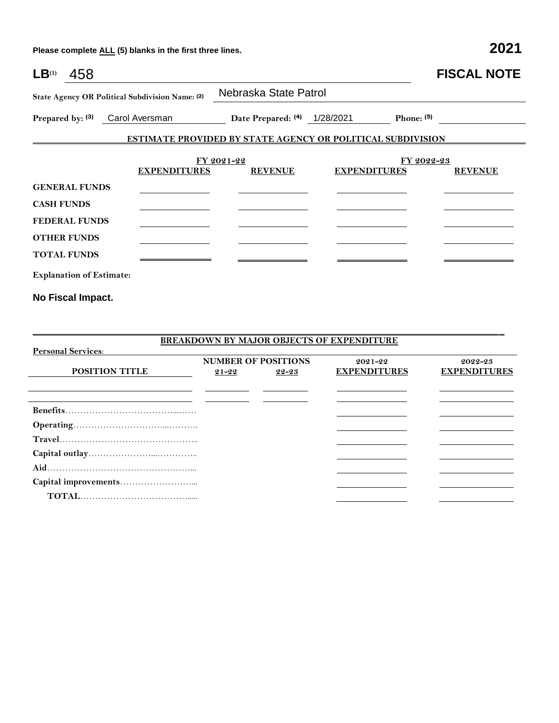**Please complete ALL (5) blanks in the first three lines. 2021**

| $LB^{(1)}$                                                                            | 458                             |                              |                                                                   |                     |            | <b>FISCAL NOTE</b> |
|---------------------------------------------------------------------------------------|---------------------------------|------------------------------|-------------------------------------------------------------------|---------------------|------------|--------------------|
| State Agency OR Political Subdivision Name: (2)<br>Carol Aversman<br>Prepared by: (3) |                                 | Nebraska State Patrol        |                                                                   |                     |            |                    |
|                                                                                       |                                 | Date Prepared: (4) 1/28/2021 |                                                                   | Phone: $(5)$        |            |                    |
|                                                                                       |                                 |                              | <b>ESTIMATE PROVIDED BY STATE AGENCY OR POLITICAL SUBDIVISION</b> |                     |            |                    |
|                                                                                       |                                 | <b>EXPENDITURES</b>          | FY 2021-22<br><b>REVENUE</b>                                      | <b>EXPENDITURES</b> | FY 2022-23 | <b>REVENUE</b>     |
|                                                                                       | <b>GENERAL FUNDS</b>            |                              |                                                                   |                     |            |                    |
| <b>CASH FUNDS</b>                                                                     |                                 |                              |                                                                   |                     |            |                    |
|                                                                                       | <b>FEDERAL FUNDS</b>            |                              |                                                                   |                     |            |                    |
|                                                                                       | <b>OTHER FUNDS</b>              |                              |                                                                   |                     |            |                    |
|                                                                                       | <b>TOTAL FUNDS</b>              |                              |                                                                   |                     |            |                    |
|                                                                                       | <b>Explanation of Estimate:</b> |                              |                                                                   |                     |            |                    |
|                                                                                       | No Fiscal Impact.               |                              |                                                                   |                     |            |                    |

**BREAKDOWN BY MAJOR OBJECTS OF EXPENDITURE Personal Services**: **POSITION TITLE NUMBER OF POSITIONS 21-22 22-23 2021-22 EXPENDITURES 2022-23 EXPENDITURES Benefits**………………………………...…… **Operating**…………………………...………. **Travel**……………………………………….. **Capital outlay**…………………...………….. **Aid**…………………………………………... **Capital improvements**……………………...  **TOTAL**……………………………….....

\_\_\_\_\_\_\_\_\_\_\_\_\_\_\_\_\_\_\_\_\_\_\_\_\_\_\_\_\_\_\_\_\_\_\_\_\_\_\_\_\_\_\_\_\_\_\_\_\_\_\_\_\_\_\_\_\_\_\_\_\_\_\_\_\_\_\_\_\_\_\_\_\_\_\_\_\_\_\_\_\_\_\_\_\_\_\_\_\_\_\_\_\_\_\_\_\_\_\_\_\_ \_